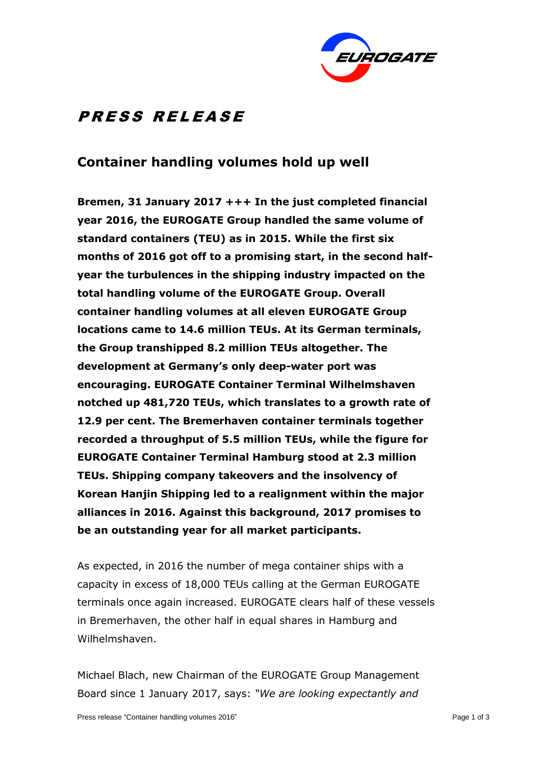

# **PRESS RELEASE**

### **Container handling volumes hold up well**

**Bremen, 31 January 2017 +++ In the just completed financial year 2016, the EUROGATE Group handled the same volume of standard containers (TEU) as in 2015. While the first six months of 2016 got off to a promising start, in the second halfyear the turbulences in the shipping industry impacted on the total handling volume of the EUROGATE Group. Overall container handling volumes at all eleven EUROGATE Group locations came to 14.6 million TEUs. At its German terminals, the Group transhipped 8.2 million TEUs altogether. The development at Germany's only deep-water port was encouraging. EUROGATE Container Terminal Wilhelmshaven notched up 481,720 TEUs, which translates to a growth rate of 12.9 per cent. The Bremerhaven container terminals together recorded a throughput of 5.5 million TEUs, while the figure for EUROGATE Container Terminal Hamburg stood at 2.3 million TEUs. Shipping company takeovers and the insolvency of Korean Hanjin Shipping led to a realignment within the major alliances in 2016. Against this background, 2017 promises to be an outstanding year for all market participants.**

As expected, in 2016 the number of mega container ships with a capacity in excess of 18,000 TEUs calling at the German EUROGATE terminals once again increased. EUROGATE clears half of these vessels in Bremerhaven, the other half in equal shares in Hamburg and Wilhelmshaven.

Michael Blach, new Chairman of the EUROGATE Group Management Board since 1 January 2017, says: *"We are looking expectantly and*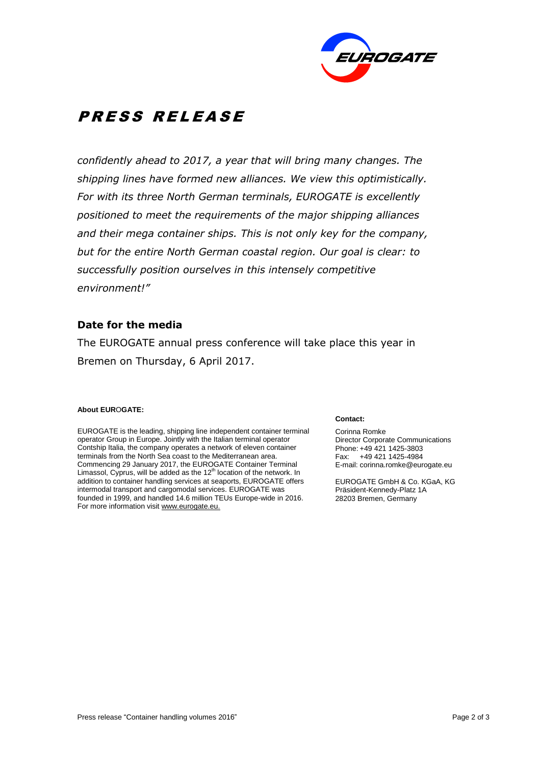

# **PRESS RELEASE**

*confidently ahead to 2017, a year that will bring many changes. The shipping lines have formed new alliances. We view this optimistically. For with its three North German terminals, EUROGATE is excellently positioned to meet the requirements of the major shipping alliances and their mega container ships. This is not only key for the company, but for the entire North German coastal region. Our goal is clear: to successfully position ourselves in this intensely competitive environment!"*

### **Date for the media**

The EUROGATE annual press conference will take place this year in Bremen on Thursday, 6 April 2017.

#### **About EUR**O**GATE:**

EUROGATE is the leading, shipping line independent container terminal operator Group in Europe. Jointly with the Italian terminal operator Contship Italia, the company operates a network of eleven container terminals from the North Sea coast to the Mediterranean area. Commencing 29 January 2017, the EUROGATE Container Terminal Limassol, Cyprus, will be added as the 12<sup>th</sup> location of the network. In addition to container handling services at seaports, EUROGATE offers intermodal transport and cargomodal services. EUROGATE was founded in 1999, and handled 14.6 million TEUs Europe-wide in 2016. For more information visit www.eurogate.eu.

#### **Contact:**

Corinna Romke Director Corporate Communications Phone: +49 421 1425-3803 Fax: +49 421 1425-4984 E-mail: corinna.romke@eurogate.eu

EUROGATE GmbH & Co. KGaA, KG Präsident-Kennedy-Platz 1A 28203 Bremen, Germany